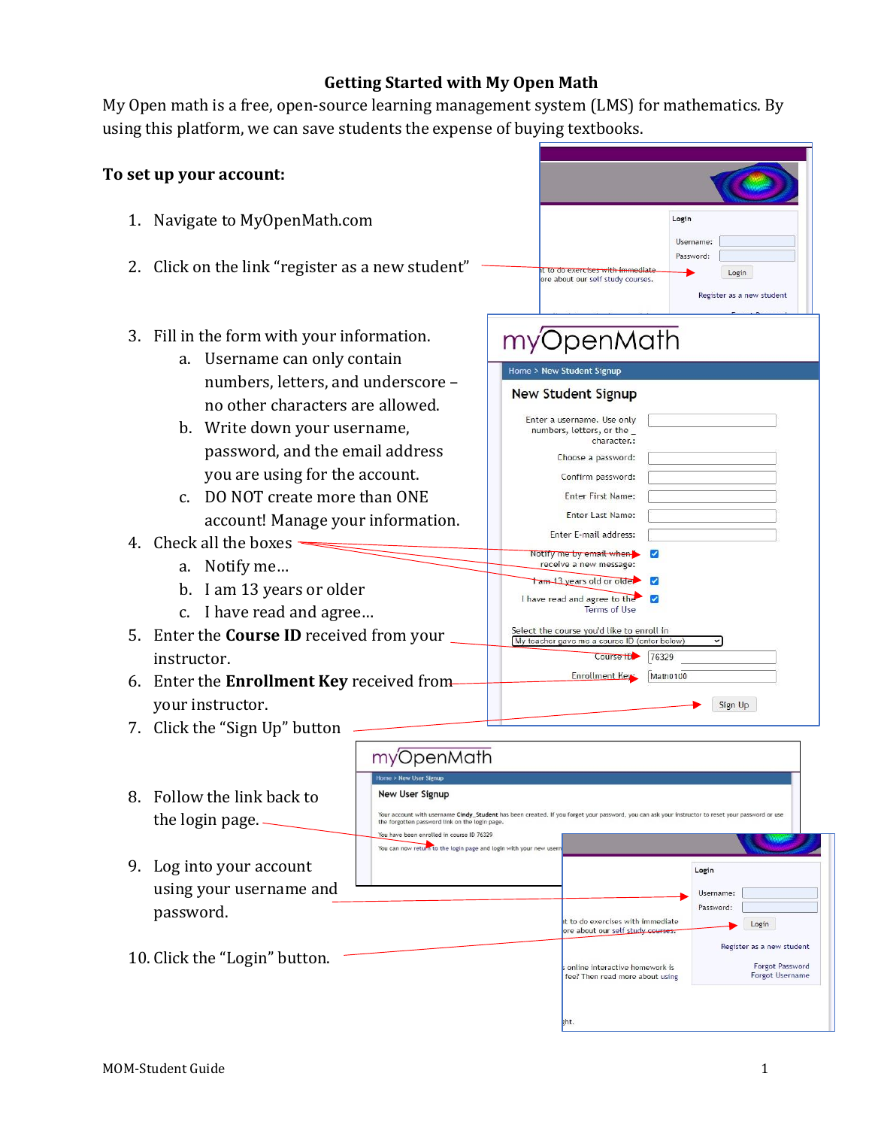## **Getting Started with My Open Math**

My Open math is a free, open-source learning management system (LMS) for mathematics. By using this platform, we can save students the expense of buying textbooks.

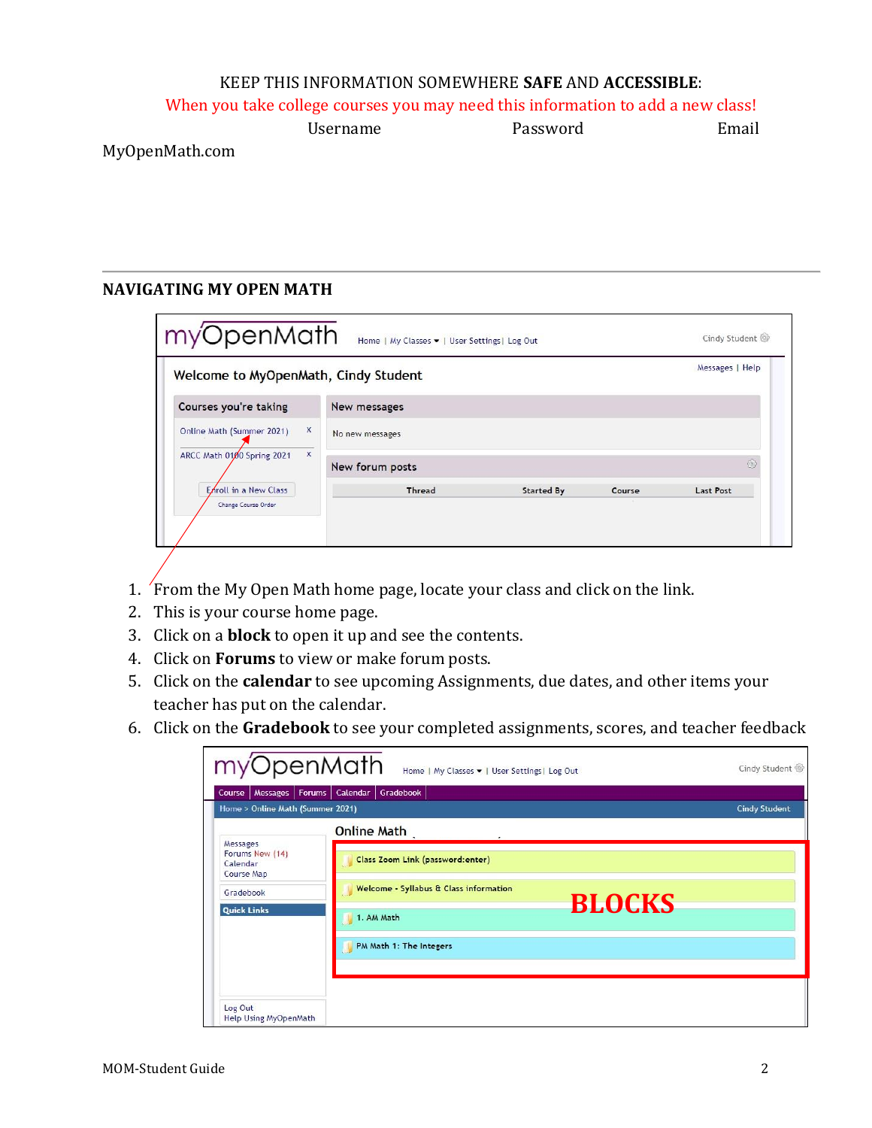## KEEP THIS INFORMATION SOMEWHERE **SAFE** AND **ACCESSIBLE**:

When you take college courses you may need this information to add a new class!

|             | Username | Password | Email |
|-------------|----------|----------|-------|
| . .<br>$ -$ |          |          |       |

MyOpenMath.com

## **NAVIGATING MY OPEN MATH**

| Welcome to MyOpenMath, Cindy Student |                 |                 |                   |        | Messages   Help  |
|--------------------------------------|-----------------|-----------------|-------------------|--------|------------------|
| Courses you're taking                |                 | New messages    |                   |        |                  |
| Online Math (Summer 2021)            | X               | No new messages |                   |        |                  |
| X<br>ARCC Math 0100 Spring 2021      | New forum posts |                 |                   | ₩      |                  |
| Enroll in a New Class                |                 | Thread          | <b>Started By</b> | Course | <b>Last Post</b> |

- 1. From the My Open Math home page, locate your class and click on the link.
- 2. This is your course home page.
- 3. Click on a **block** to open it up and see the contents.
- 4. Click on **Forums** to view or make forum posts.
- 5. Click on the **calendar** to see upcoming Assignments, due dates, and other items your teacher has put on the calendar.
- 6. Click on the **Gradebook** to see your completed assignments, scores, and teacher feedback

| myOpenMath                                            | Home   My Classes •   User Settings  Log Out                               | Cindy Student        |
|-------------------------------------------------------|----------------------------------------------------------------------------|----------------------|
| Forums  <br>Messages<br>Course                        | Calendar  <br>Gradebook                                                    |                      |
| Home > Online Math (Summer 2021)                      | <b>Online Math</b>                                                         | <b>Cindy Student</b> |
| Messages<br>Forums New (14)<br>Calendar<br>Course Map | Class Zoom Link (password:enter)<br>Welcome - Syllabus & Class information |                      |
| Gradebook<br><b>Quick Links</b>                       | <b>BLOCKS</b><br>1. AM Math                                                |                      |
|                                                       | PM Math 1: The Integers                                                    |                      |
| Log Out<br>Help Using MyOpenMath                      |                                                                            |                      |